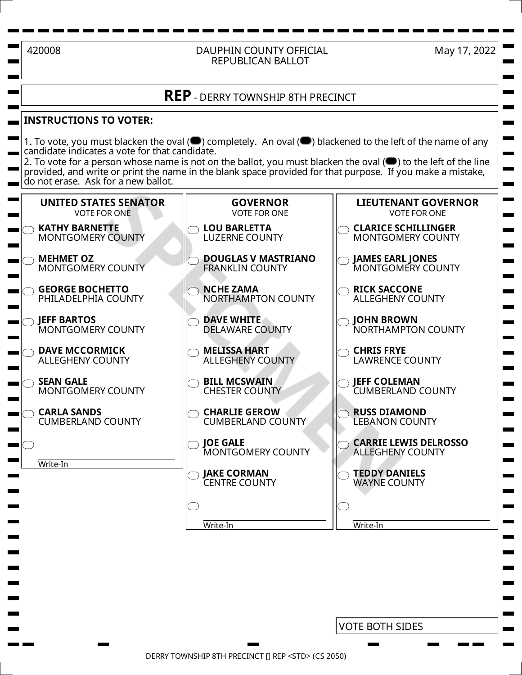## 420008 DAUPHIN COUNTY OFFICIAL REPUBLICAN BALLOT

May 17, 2022

## **REP** - DERRY TOWNSHIP 8TH PRECINCT

## **INSTRUCTIONS TO VOTER:**

1. To vote, you must blacken the oval (●) completely. An oval (●) blackened to the left of the name of any candidate indicates a vote for that candidate.

2. To vote for a person whose name is not on the ballot, you must blacken the oval ( $\blacksquare$ ) to the left of the line provided, and write or print the name in the blank space provided for that purpose. If you make a mistake, do not erase. Ask for a new ballot.